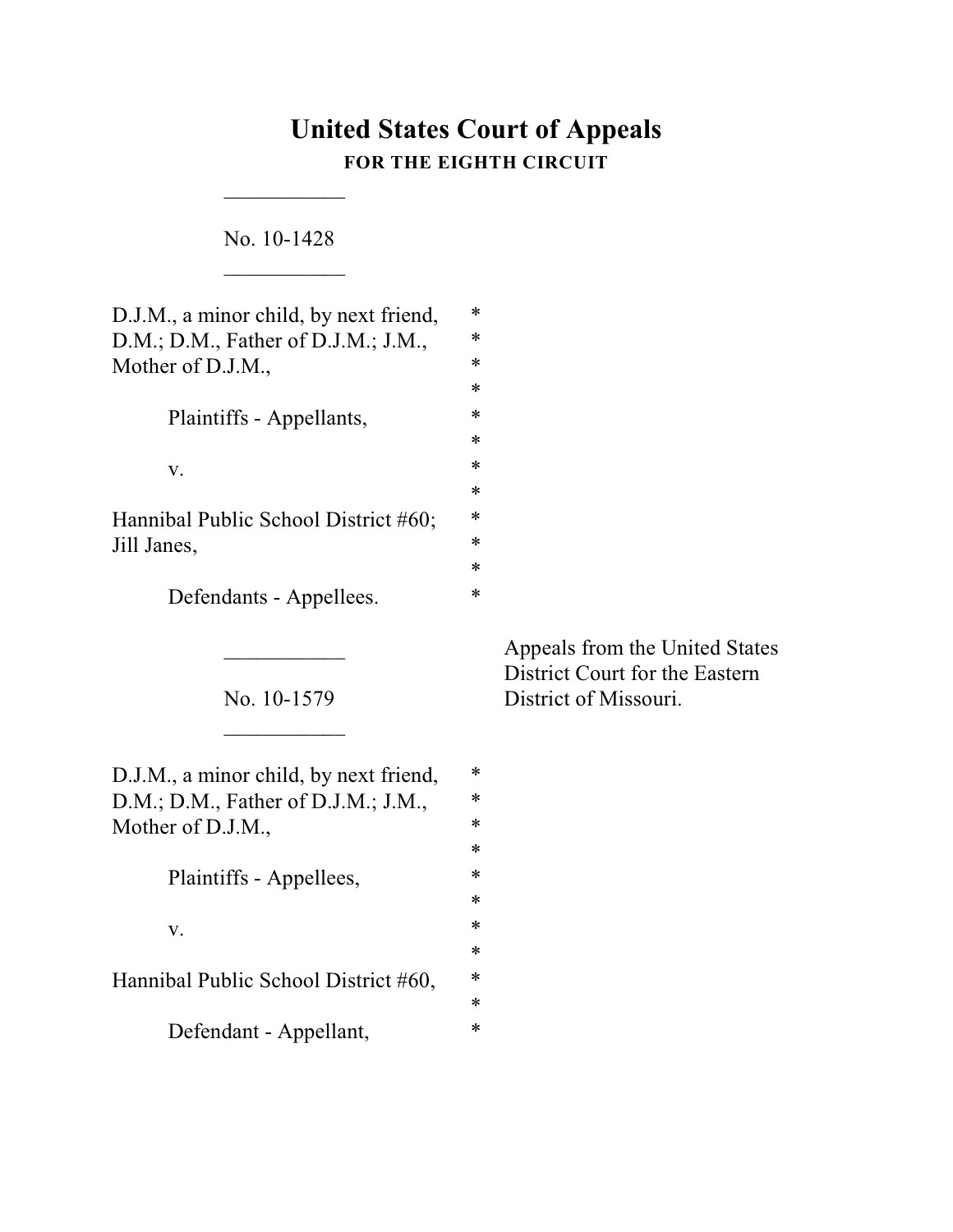# **United States Court of Appeals FOR THE EIGHTH CIRCUIT**

No. 10-1428  $\frac{1}{2}$ 

 $\overline{\phantom{a}}$ 

| D.J.M., a minor child, by next friend,<br>D.M.; D.M., Father of D.J.M.; J.M.,<br>Mother of D.J.M., | *<br>*<br>∗<br>$\ast$           |
|----------------------------------------------------------------------------------------------------|---------------------------------|
| Plaintiffs - Appellants,                                                                           | ∗<br>*                          |
| V.                                                                                                 | $\ast$<br>$\ast$                |
| Hannibal Public School District #60;<br>Jill Janes,                                                | ∗<br>*<br>$\ast$                |
| Defendants - Appellees.                                                                            | ∗                               |
| No. 10-1579                                                                                        |                                 |
| D.J.M., a minor child, by next friend,<br>D.M.; D.M., Father of D.J.M.; J.M.,<br>Mother of D.J.M., | *<br>$\ast$<br>$\ast$<br>$\ast$ |
| Plaintiffs - Appellees,                                                                            | ∗                               |
| V.                                                                                                 | $\ast$<br>$\ast$                |
| Hannibal Public School District #60,                                                               | ∗<br>*<br>$\ast$                |
| Defendant - Appellant,                                                                             | $\ast$                          |

Appeals from the United States District Court for the Eastern District of Missouri.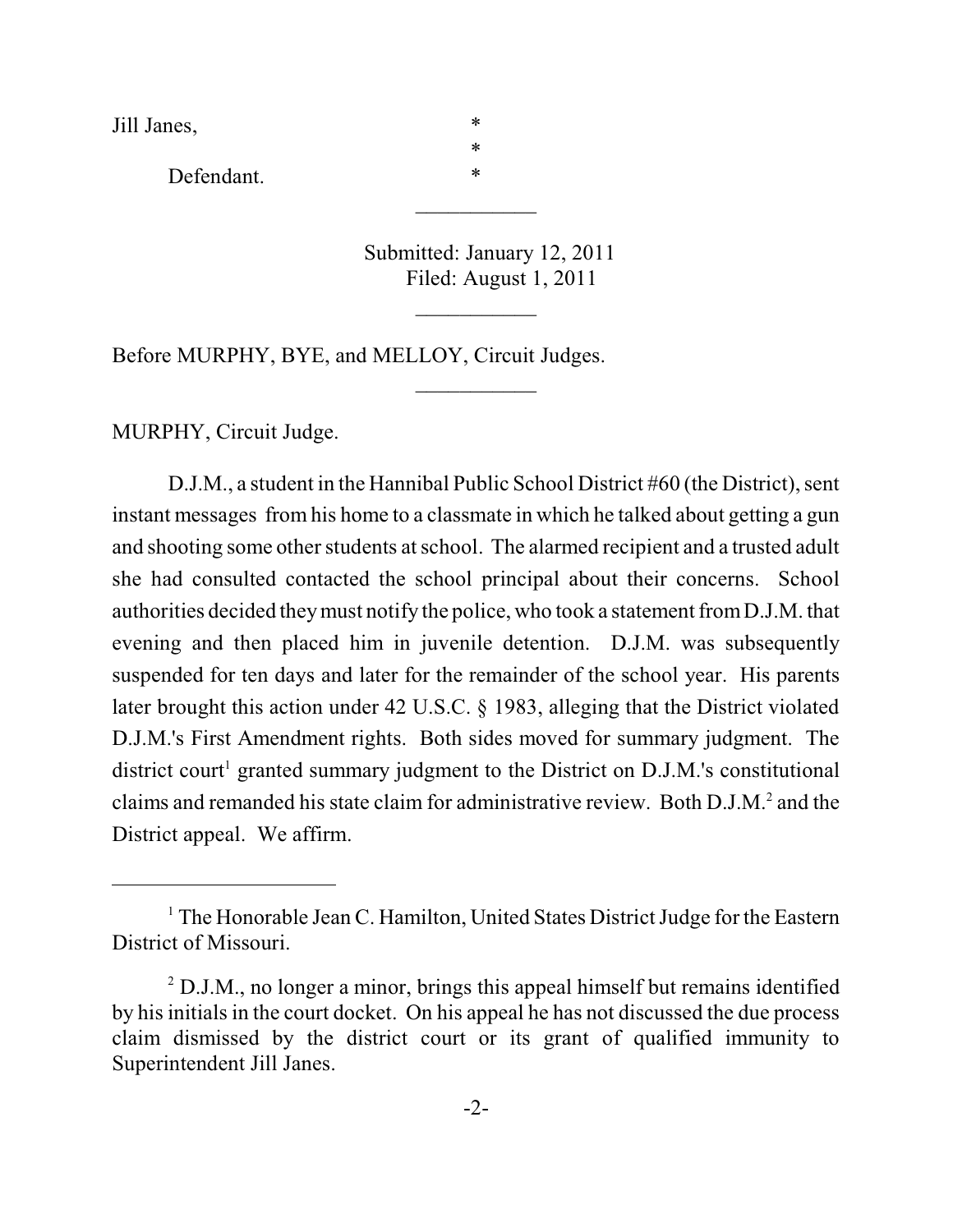Jill Janes, \*

Defendant. \*

Submitted: January 12, 2011 Filed: August 1, 2011

 $\frac{1}{2}$ 

 $\overline{\phantom{a}}$ 

\*

 $\overline{\phantom{a}}$ 

Before MURPHY, BYE, and MELLOY, Circuit Judges.

MURPHY, Circuit Judge.

D.J.M., a student in the Hannibal Public School District #60 (the District), sent instant messages from his home to a classmate in which he talked about getting a gun and shooting some other students atschool. The alarmed recipient and a trusted adult she had consulted contacted the school principal about their concerns. School authorities decided theymust notify the police, who took a statement fromD.J.M. that evening and then placed him in juvenile detention. D.J.M. was subsequently suspended for ten days and later for the remainder of the school year. His parents later brought this action under 42 U.S.C. § 1983, alleging that the District violated D.J.M.'s First Amendment rights. Both sides moved for summary judgment. The district court<sup>1</sup> granted summary judgment to the District on D.J.M.'s constitutional claims and remanded his state claim for administrative review. Both D.J.M.<sup>2</sup> and the District appeal. We affirm.

 $1$  The Honorable Jean C. Hamilton, United States District Judge for the Eastern District of Missouri.

 $2$  D.J.M., no longer a minor, brings this appeal himself but remains identified by his initials in the court docket. On his appeal he has not discussed the due process claim dismissed by the district court or its grant of qualified immunity to Superintendent Jill Janes.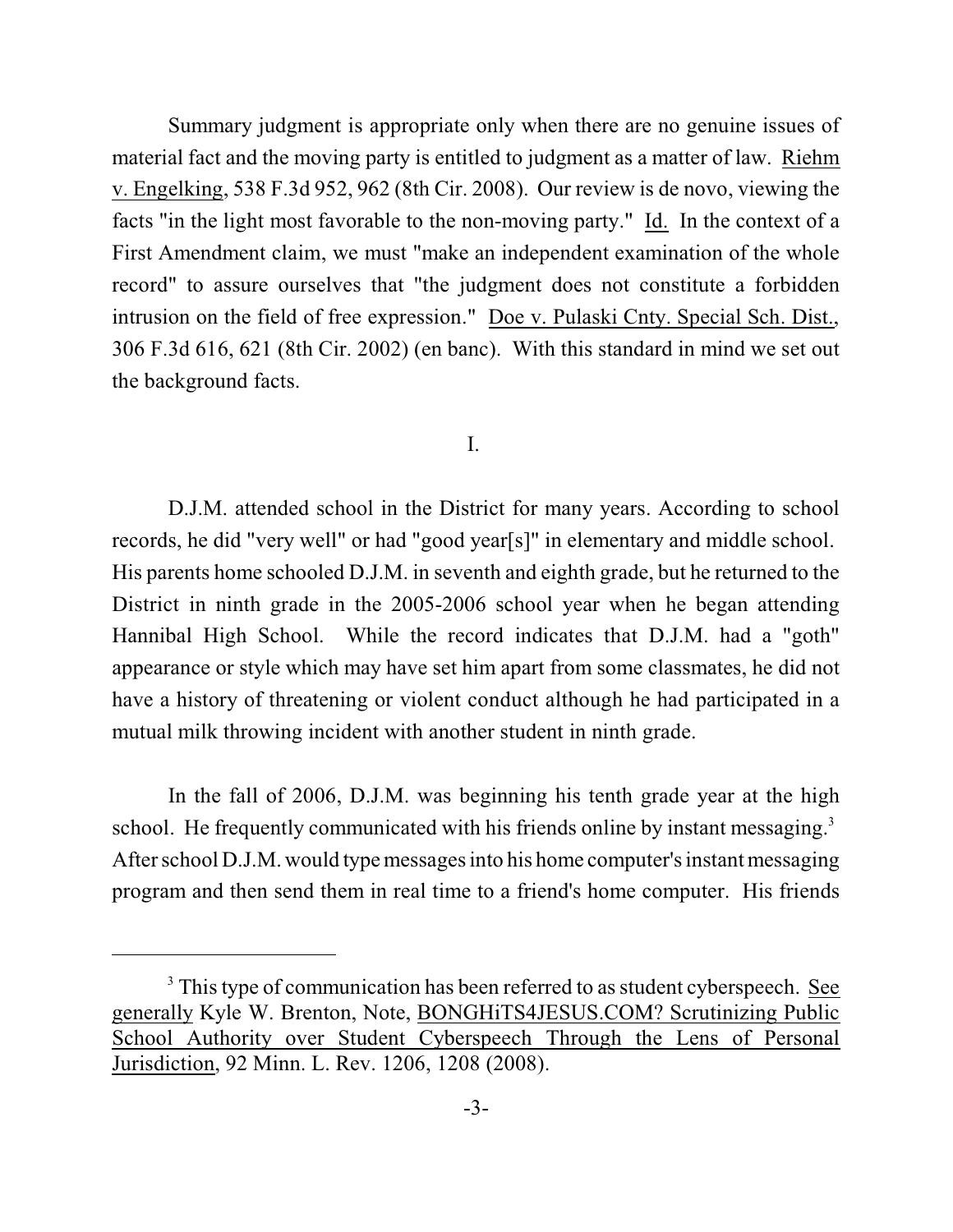Summary judgment is appropriate only when there are no genuine issues of material fact and the moving party is entitled to judgment as a matter of law. Riehm v. Engelking, 538 F.3d 952, 962 (8th Cir. 2008). Our review is de novo, viewing the facts "in the light most favorable to the non-moving party." Id. In the context of a First Amendment claim, we must "make an independent examination of the whole record" to assure ourselves that "the judgment does not constitute a forbidden intrusion on the field of free expression." Doe v. Pulaski Cnty. Special Sch. Dist., 306 F.3d 616, 621 (8th Cir. 2002) (en banc). With this standard in mind we set out the background facts.

#### I.

D.J.M. attended school in the District for many years. According to school records, he did "very well" or had "good year[s]" in elementary and middle school. His parents home schooled D.J.M. in seventh and eighth grade, but he returned to the District in ninth grade in the 2005-2006 school year when he began attending Hannibal High School. While the record indicates that D.J.M. had a "goth" appearance or style which may have set him apart from some classmates, he did not have a history of threatening or violent conduct although he had participated in a mutual milk throwing incident with another student in ninth grade.

In the fall of 2006, D.J.M. was beginning his tenth grade year at the high school. He frequently communicated with his friends online by instant messaging.<sup>3</sup> After school D.J.M. would type messages into his home computer's instant messaging program and then send them in real time to a friend's home computer. His friends

<sup>&</sup>lt;sup>3</sup> This type of communication has been referred to as student cyberspeech. See generally Kyle W. Brenton, Note, BONGHiTS4JESUS.COM? Scrutinizing Public School Authority over Student Cyberspeech Through the Lens of Personal Jurisdiction, 92 Minn. L. Rev. 1206, 1208 (2008).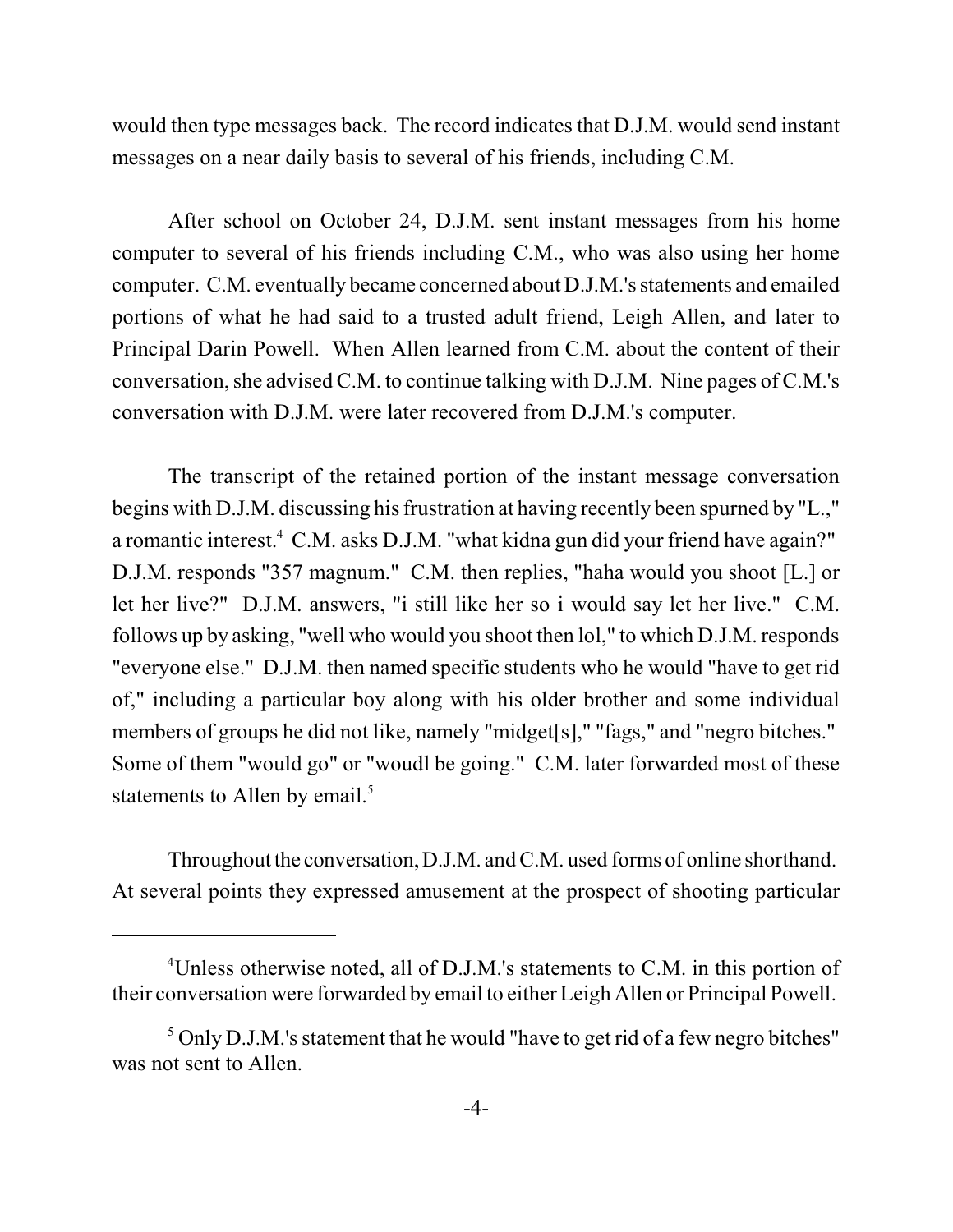would then type messages back. The record indicates that D.J.M. would send instant messages on a near daily basis to several of his friends, including C.M.

After school on October 24, D.J.M. sent instant messages from his home computer to several of his friends including C.M., who was also using her home computer. C.M. eventually became concerned about D.J.M.'s statements and emailed portions of what he had said to a trusted adult friend, Leigh Allen, and later to Principal Darin Powell. When Allen learned from C.M. about the content of their conversation, she advised C.M. to continue talking with D.J.M. Nine pages of C.M.'s conversation with D.J.M. were later recovered from D.J.M.'s computer.

The transcript of the retained portion of the instant message conversation begins with D.J.M. discussing his frustration at having recently been spurned by "L.," a romantic interest.<sup>4</sup> C.M. asks D.J.M. "what kidna gun did your friend have again?" D.J.M. responds "357 magnum." C.M. then replies, "haha would you shoot [L.] or let her live?" D.J.M. answers, "i still like her so i would say let her live." C.M. follows up by asking, "well who would you shoot then lol," to which D.J.M. responds "everyone else." D.J.M. then named specific students who he would "have to get rid of," including a particular boy along with his older brother and some individual members of groups he did not like, namely "midget[s]," "fags," and "negro bitches." Some of them "would go" or "woudl be going." C.M. later forwarded most of these statements to Allen by email. $5$ 

Throughout the conversation, D.J.M. and C.M. used forms of online shorthand. At several points they expressed amusement at the prospect of shooting particular

<sup>&</sup>lt;sup>4</sup>Unless otherwise noted, all of D.J.M.'s statements to C.M. in this portion of their conversation were forwarded by email to either Leigh Allen or Principal Powell.

 $\delta$  Only D.J.M.'s statement that he would "have to get rid of a few negro bitches" was not sent to Allen.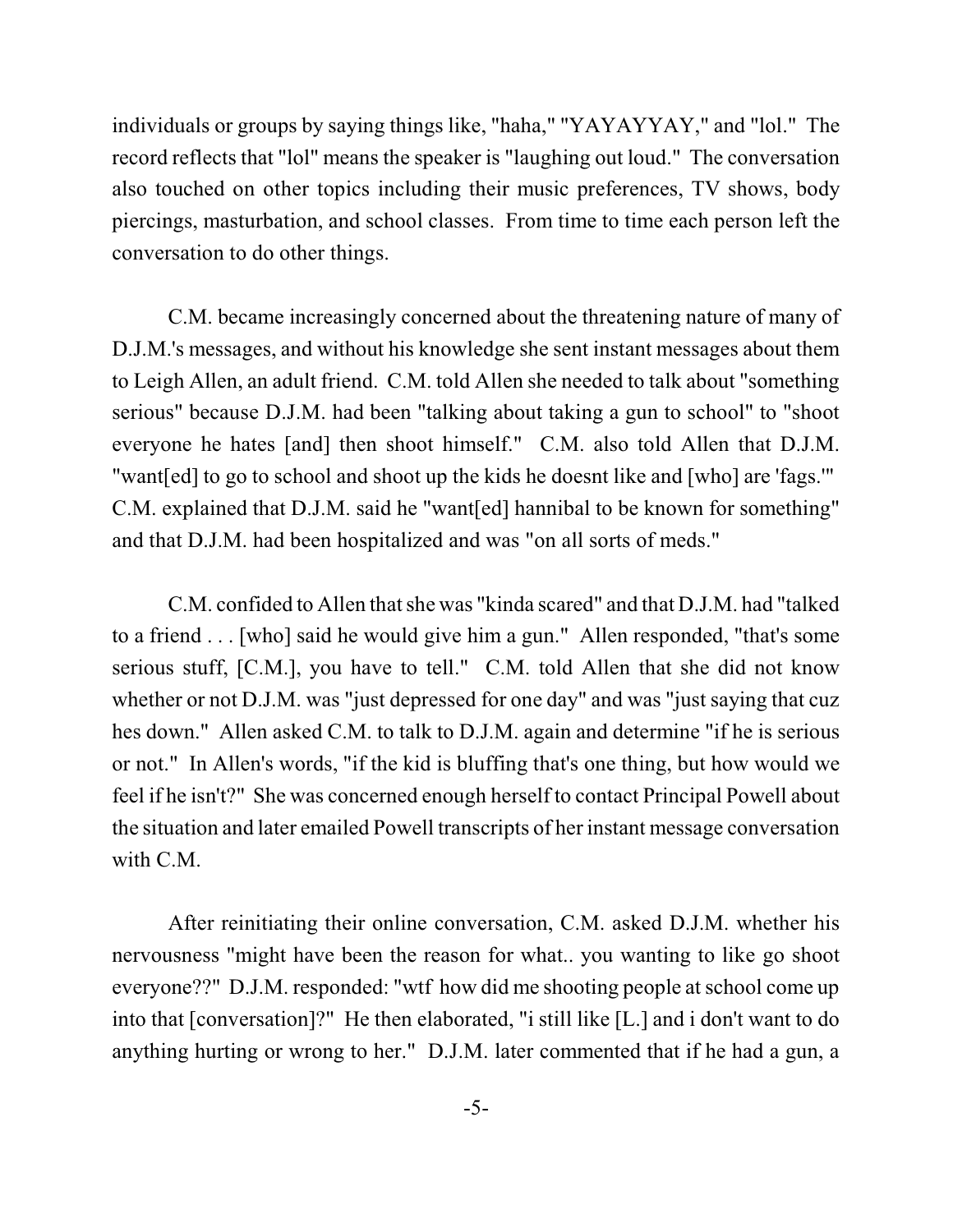individuals or groups by saying things like, "haha," "YAYAYYAY," and "lol." The record reflects that "lol" means the speaker is "laughing out loud." The conversation also touched on other topics including their music preferences, TV shows, body piercings, masturbation, and school classes. From time to time each person left the conversation to do other things.

C.M. became increasingly concerned about the threatening nature of many of D.J.M.'s messages, and without his knowledge she sent instant messages about them to Leigh Allen, an adult friend. C.M. told Allen she needed to talk about "something serious" because D.J.M. had been "talking about taking a gun to school" to "shoot everyone he hates [and] then shoot himself." C.M. also told Allen that D.J.M. "want[ed] to go to school and shoot up the kids he doesnt like and [who] are 'fags.'" C.M. explained that D.J.M. said he "want[ed] hannibal to be known for something" and that D.J.M. had been hospitalized and was "on all sorts of meds."

C.M. confided to Allen that she was "kinda scared" and that D.J.M. had "talked" to a friend . . . [who] said he would give him a gun." Allen responded, "that's some serious stuff, [C.M.], you have to tell." C.M. told Allen that she did not know whether or not D.J.M. was "just depressed for one day" and was "just saying that cuz hes down." Allen asked C.M. to talk to D.J.M. again and determine "if he is serious or not." In Allen's words, "if the kid is bluffing that's one thing, but how would we feel if he isn't?" She was concerned enough herself to contact Principal Powell about the situation and later emailed Powell transcripts of her instant message conversation with C.M.

After reinitiating their online conversation, C.M. asked D.J.M. whether his nervousness "might have been the reason for what.. you wanting to like go shoot everyone??" D.J.M. responded: "wtf how did me shooting people atschool come up into that [conversation]?" He then elaborated, "i still like [L.] and i don't want to do anything hurting or wrong to her." D.J.M. later commented that if he had a gun, a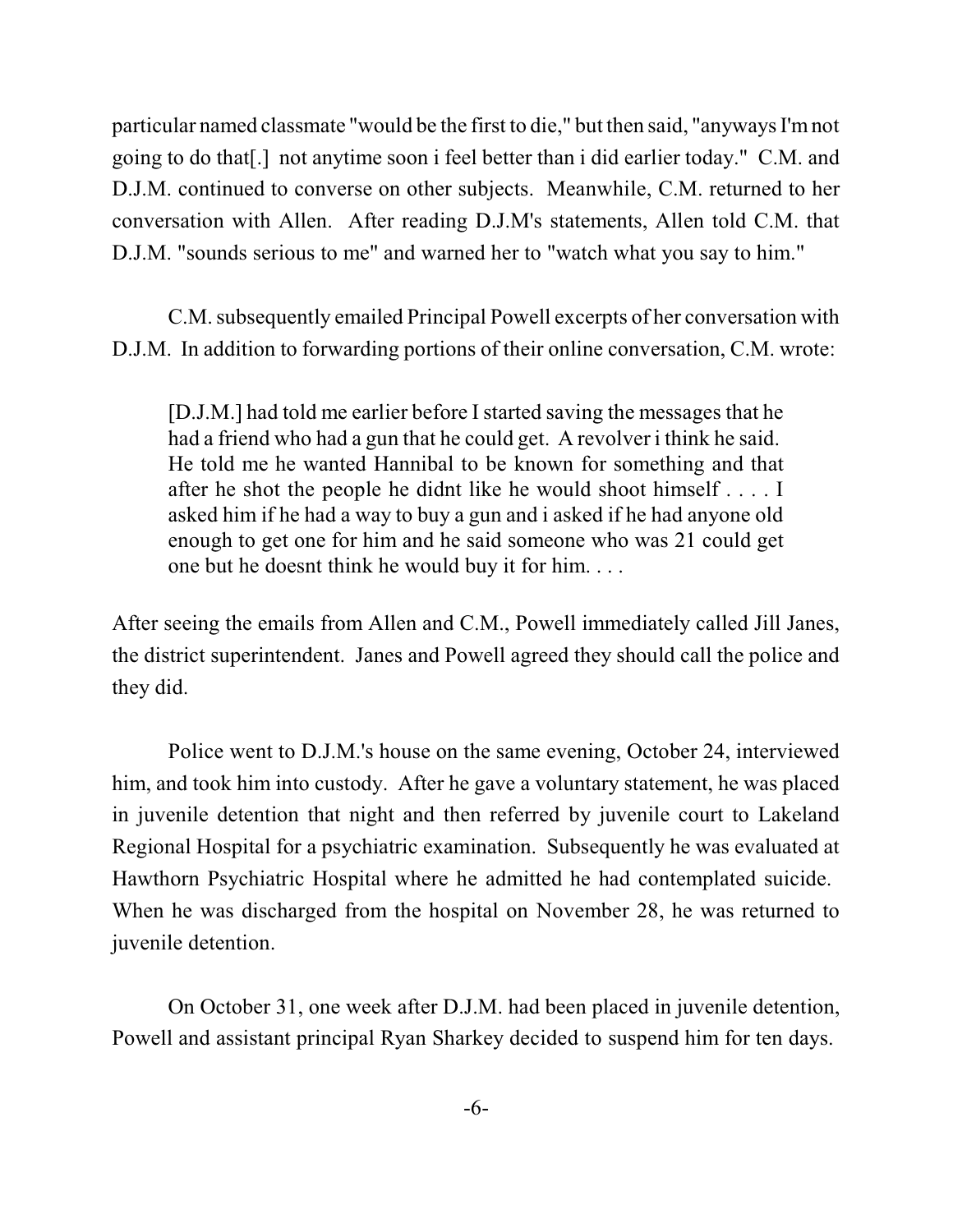particular named classmate "would be the first to die," but then said, "anyways I'mnot going to do that[.] not anytime soon i feel better than i did earlier today." C.M. and D.J.M. continued to converse on other subjects. Meanwhile, C.M. returned to her conversation with Allen. After reading D.J.M's statements, Allen told C.M. that D.J.M. "sounds serious to me" and warned her to "watch what you say to him."

C.M. subsequently emailed Principal Powell excerpts of her conversation with D.J.M. In addition to forwarding portions of their online conversation, C.M. wrote:

[D.J.M.] had told me earlier before I started saving the messages that he had a friend who had a gun that he could get. A revolver i think he said. He told me he wanted Hannibal to be known for something and that after he shot the people he didnt like he would shoot himself . . . . I asked him if he had a way to buy a gun and i asked if he had anyone old enough to get one for him and he said someone who was 21 could get one but he doesnt think he would buy it for him. . . .

After seeing the emails from Allen and C.M., Powell immediately called Jill Janes, the district superintendent. Janes and Powell agreed they should call the police and they did.

Police went to D.J.M.'s house on the same evening, October 24, interviewed him, and took him into custody. After he gave a voluntary statement, he was placed in juvenile detention that night and then referred by juvenile court to Lakeland Regional Hospital for a psychiatric examination. Subsequently he was evaluated at Hawthorn Psychiatric Hospital where he admitted he had contemplated suicide. When he was discharged from the hospital on November 28, he was returned to juvenile detention.

On October 31, one week after D.J.M. had been placed in juvenile detention, Powell and assistant principal Ryan Sharkey decided to suspend him for ten days.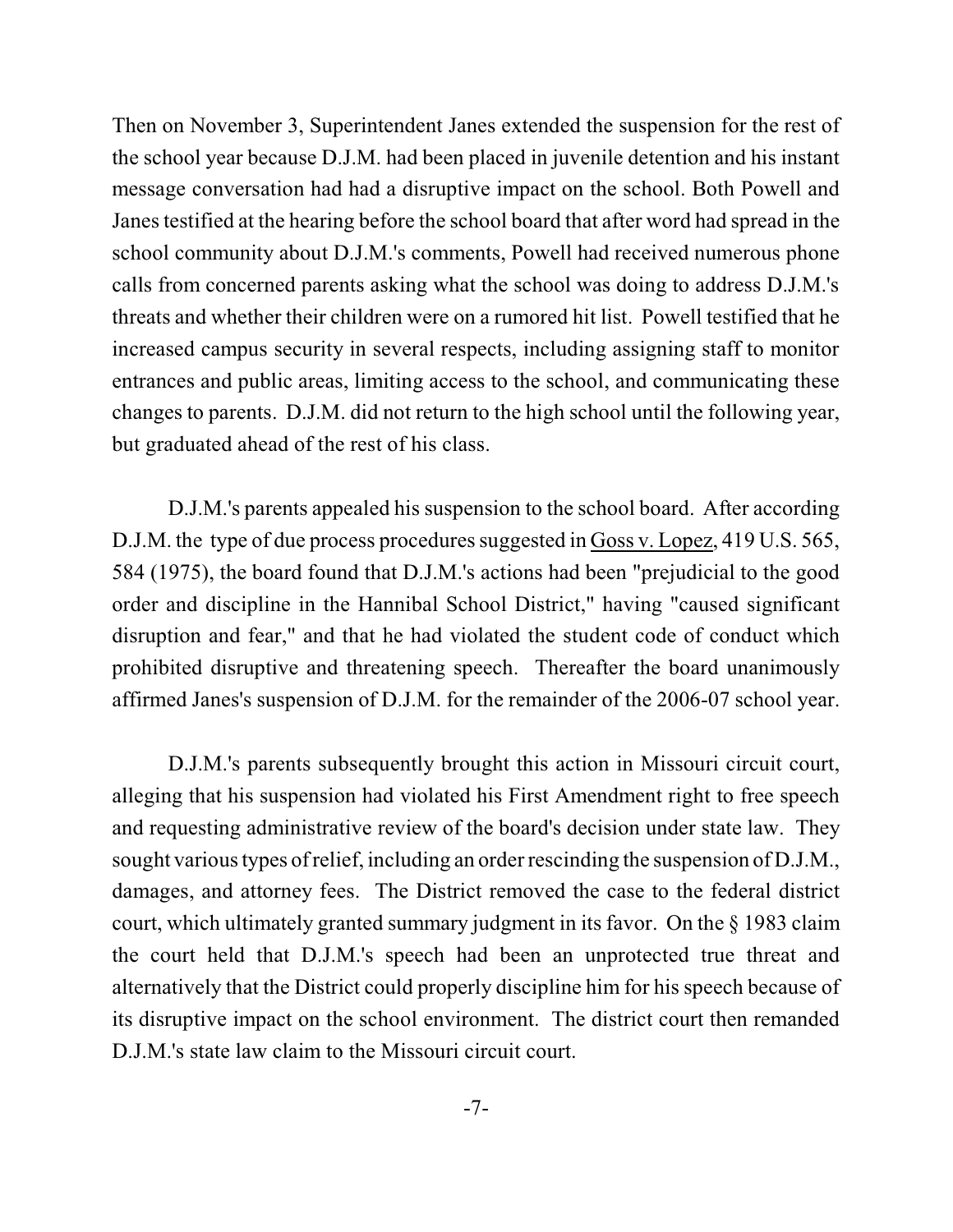Then on November 3, Superintendent Janes extended the suspension for the rest of the school year because D.J.M. had been placed in juvenile detention and his instant message conversation had had a disruptive impact on the school. Both Powell and Janes testified at the hearing before the school board that after word had spread in the school community about D.J.M.'s comments, Powell had received numerous phone calls from concerned parents asking what the school was doing to address D.J.M.'s threats and whether their children were on a rumored hit list. Powell testified that he increased campus security in several respects, including assigning staff to monitor entrances and public areas, limiting access to the school, and communicating these changes to parents. D.J.M. did not return to the high school until the following year, but graduated ahead of the rest of his class.

D.J.M.'s parents appealed his suspension to the school board. After according D.J.M. the type of due process procedures suggested in Goss v. Lopez, 419 U.S. 565, 584 (1975), the board found that D.J.M.'s actions had been "prejudicial to the good order and discipline in the Hannibal School District," having "caused significant disruption and fear," and that he had violated the student code of conduct which prohibited disruptive and threatening speech. Thereafter the board unanimously affirmed Janes's suspension of D.J.M. for the remainder of the 2006-07 school year.

D.J.M.'s parents subsequently brought this action in Missouri circuit court, alleging that his suspension had violated his First Amendment right to free speech and requesting administrative review of the board's decision under state law. They sought various types of relief, including an order rescinding the suspension of D.J.M., damages, and attorney fees. The District removed the case to the federal district court, which ultimately granted summary judgment in its favor. On the § 1983 claim the court held that D.J.M.'s speech had been an unprotected true threat and alternatively that the District could properly discipline him for his speech because of its disruptive impact on the school environment. The district court then remanded D.J.M.'s state law claim to the Missouri circuit court.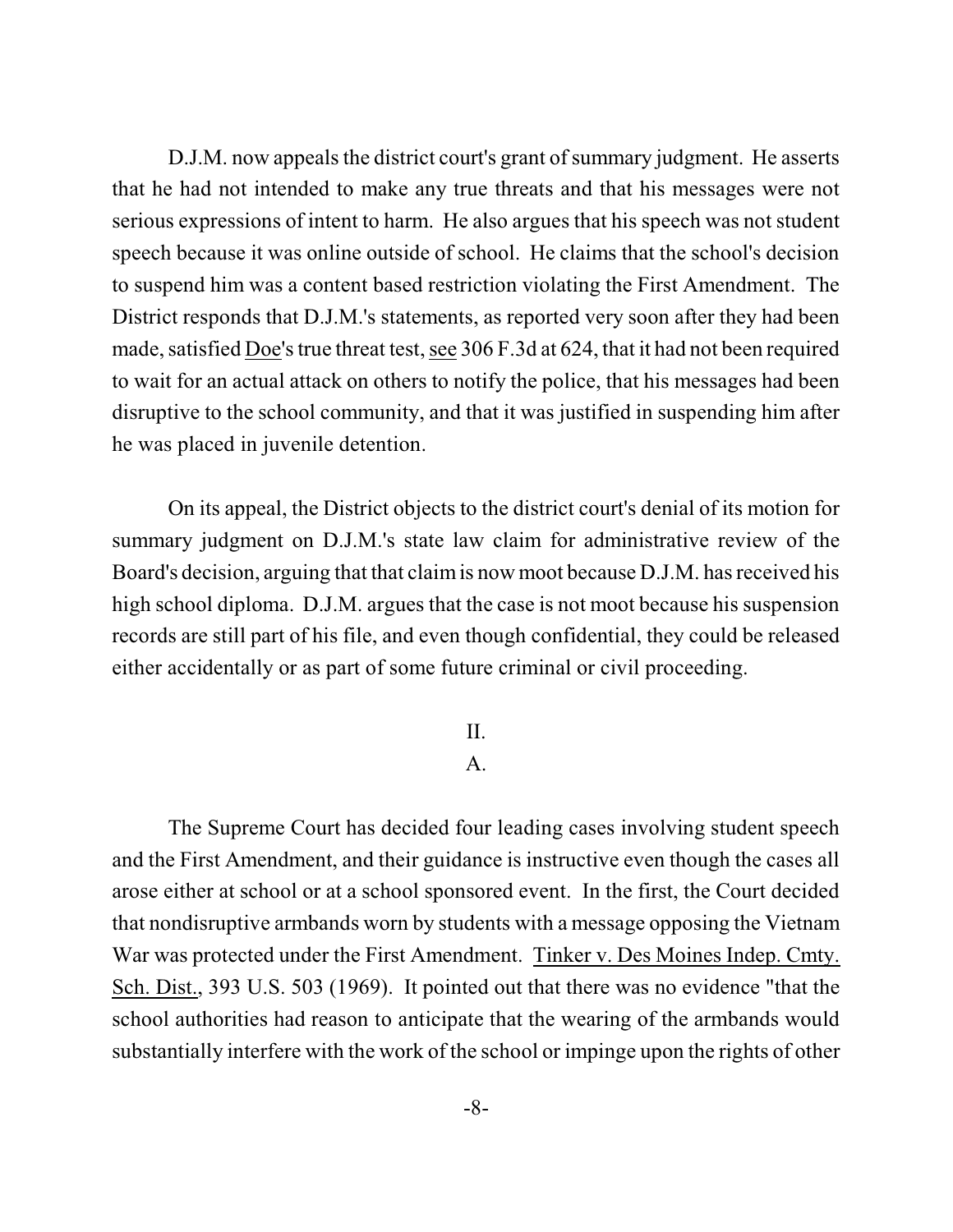D.J.M. now appeals the district court's grant of summary judgment. He asserts that he had not intended to make any true threats and that his messages were not serious expressions of intent to harm. He also argues that his speech was not student speech because it was online outside of school. He claims that the school's decision to suspend him was a content based restriction violating the First Amendment. The District responds that D.J.M.'s statements, as reported very soon after they had been made, satisfied Doe's true threat test, see 306 F.3d at 624, that it had not been required to wait for an actual attack on others to notify the police, that his messages had been disruptive to the school community, and that it was justified in suspending him after he was placed in juvenile detention.

On its appeal, the District objects to the district court's denial of its motion for summary judgment on D.J.M.'s state law claim for administrative review of the Board's decision, arguing that that claimis now moot because D.J.M. has received his high school diploma. D.J.M. argues that the case is not moot because his suspension records are still part of his file, and even though confidential, they could be released either accidentally or as part of some future criminal or civil proceeding.

### II.

## A.

The Supreme Court has decided four leading cases involving student speech and the First Amendment, and their guidance is instructive even though the cases all arose either at school or at a school sponsored event. In the first, the Court decided that nondisruptive armbands worn by students with a message opposing the Vietnam War was protected under the First Amendment. Tinker v. Des Moines Indep. Cmty. Sch. Dist., 393 U.S. 503 (1969). It pointed out that there was no evidence "that the school authorities had reason to anticipate that the wearing of the armbands would substantially interfere with the work of the school or impinge upon the rights of other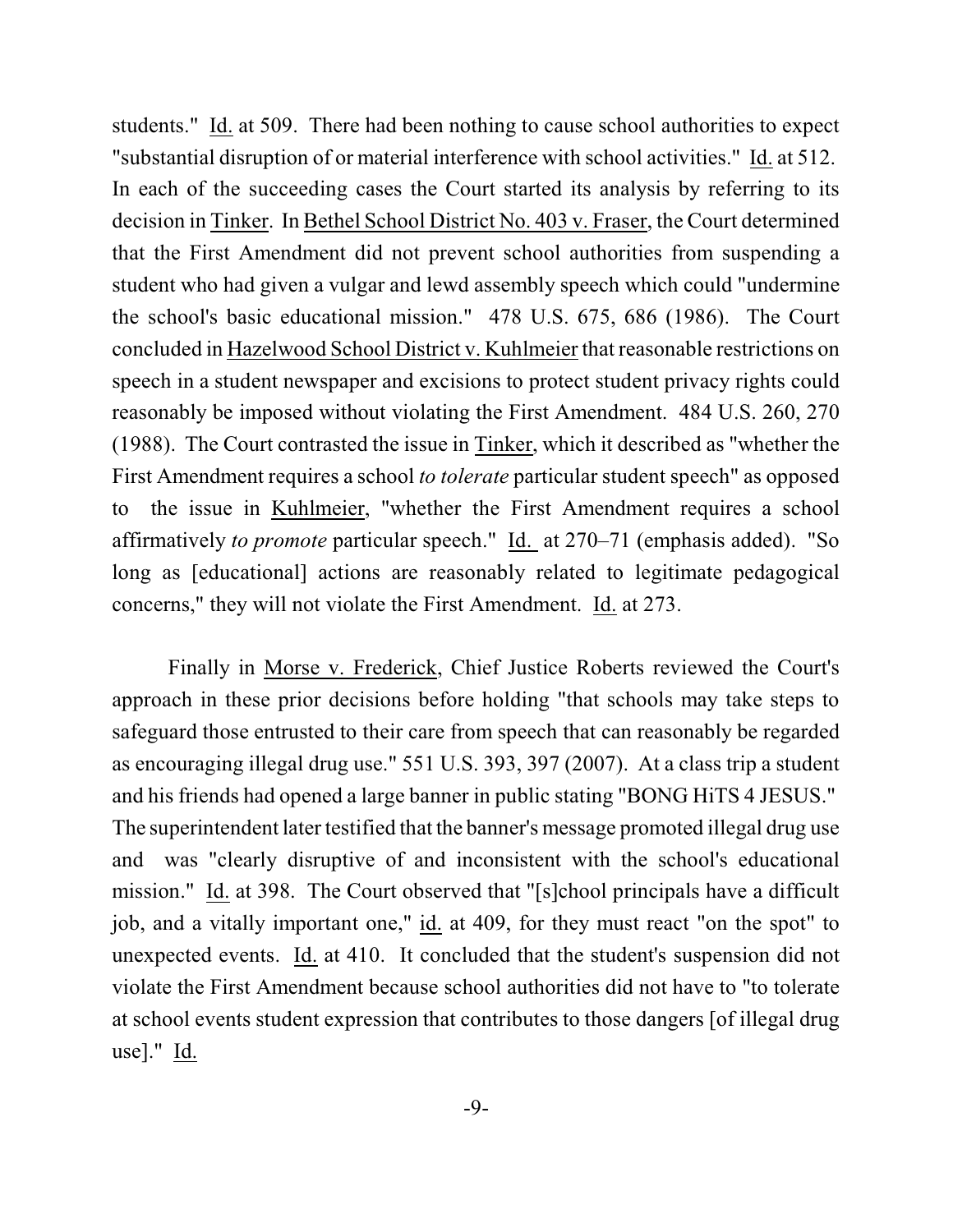students." Id. at 509. There had been nothing to cause school authorities to expect "substantial disruption of or material interference with school activities." Id. at 512. In each of the succeeding cases the Court started its analysis by referring to its decision in Tinker. In Bethel School District No. 403 v. Fraser, the Court determined that the First Amendment did not prevent school authorities from suspending a student who had given a vulgar and lewd assembly speech which could "undermine the school's basic educational mission." 478 U.S. 675, 686 (1986). The Court concluded in Hazelwood School District v. Kuhlmeier that reasonable restrictions on speech in a student newspaper and excisions to protect student privacy rights could reasonably be imposed without violating the First Amendment. 484 U.S. 260, 270 (1988). The Court contrasted the issue in Tinker, which it described as "whether the First Amendment requires a school *to tolerate* particular student speech" as opposed to the issue in Kuhlmeier, "whether the First Amendment requires a school affirmatively *to promote* particular speech." Id. at 270–71 (emphasis added). "So long as [educational] actions are reasonably related to legitimate pedagogical concerns," they will not violate the First Amendment. Id. at 273.

Finally in Morse v. Frederick, Chief Justice Roberts reviewed the Court's approach in these prior decisions before holding "that schools may take steps to safeguard those entrusted to their care from speech that can reasonably be regarded as encouraging illegal drug use." 551 U.S. 393, 397 (2007). At a class trip a student and his friends had opened a large banner in public stating "BONG HiTS 4 JESUS." The superintendent later testified that the banner's message promoted illegal drug use and was "clearly disruptive of and inconsistent with the school's educational mission." Id. at 398. The Court observed that "[s]chool principals have a difficult job, and a vitally important one," id. at 409, for they must react "on the spot" to unexpected events. Id. at 410. It concluded that the student's suspension did not violate the First Amendment because school authorities did not have to "to tolerate at school events student expression that contributes to those dangers [of illegal drug use]." Id.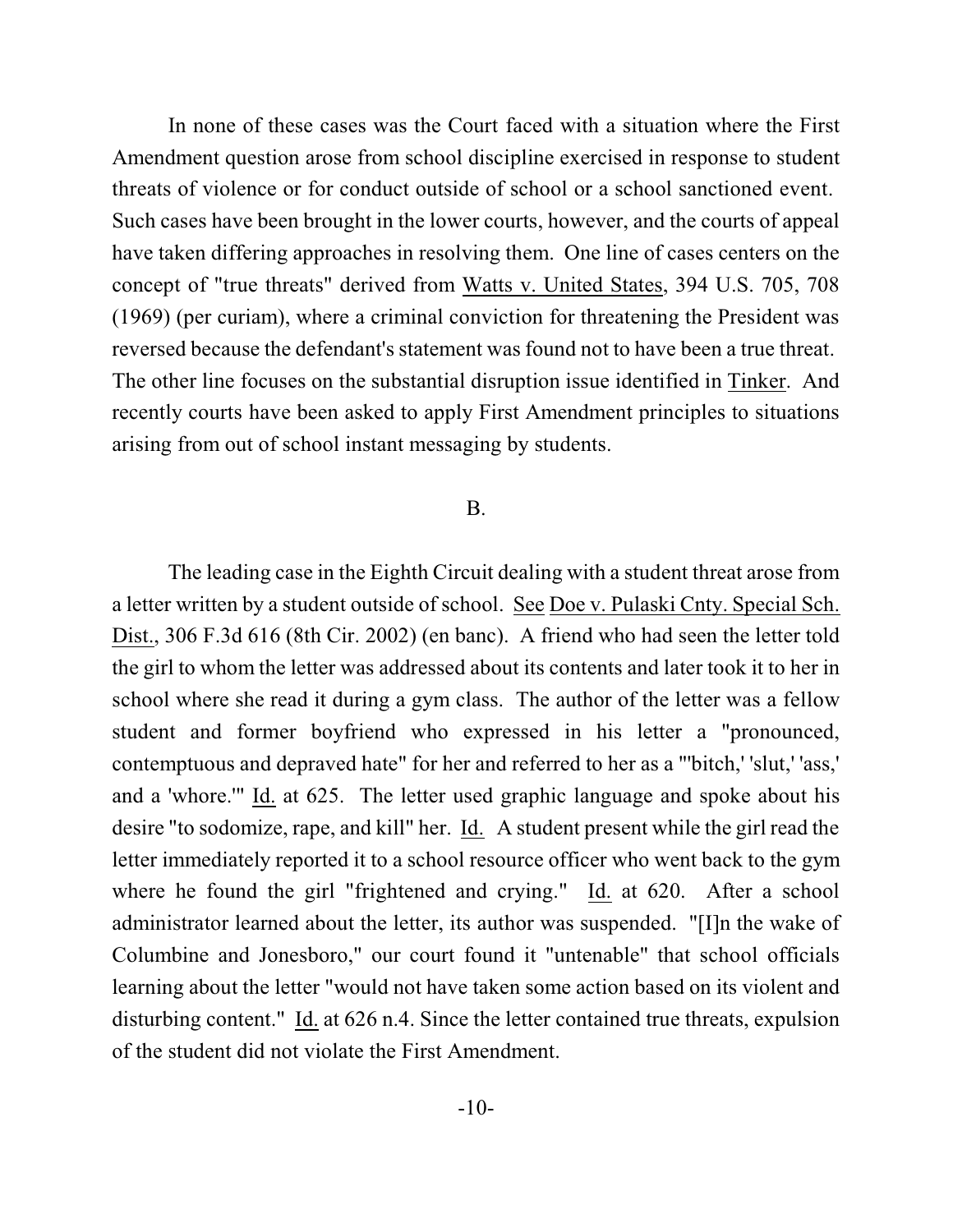In none of these cases was the Court faced with a situation where the First Amendment question arose from school discipline exercised in response to student threats of violence or for conduct outside of school or a school sanctioned event. Such cases have been brought in the lower courts, however, and the courts of appeal have taken differing approaches in resolving them. One line of cases centers on the concept of "true threats" derived from Watts v. United States, 394 U.S. 705, 708 (1969) (per curiam), where a criminal conviction for threatening the President was reversed because the defendant's statement was found not to have been a true threat. The other line focuses on the substantial disruption issue identified in Tinker. And recently courts have been asked to apply First Amendment principles to situations arising from out of school instant messaging by students.

## B.

The leading case in the Eighth Circuit dealing with a student threat arose from a letter written by a student outside of school. See Doe v. Pulaski Cnty. Special Sch. Dist., 306 F.3d 616 (8th Cir. 2002) (en banc). A friend who had seen the letter told the girl to whom the letter was addressed about its contents and later took it to her in school where she read it during a gym class. The author of the letter was a fellow student and former boyfriend who expressed in his letter a "pronounced, contemptuous and depraved hate" for her and referred to her as a "'bitch,' 'slut,' 'ass,' and a 'whore.'" Id. at 625. The letter used graphic language and spoke about his desire "to sodomize, rape, and kill" her. Id. A student present while the girl read the letter immediately reported it to a school resource officer who went back to the gym where he found the girl "frightened and crying." Id. at 620. After a school administrator learned about the letter, its author was suspended. "[I]n the wake of Columbine and Jonesboro," our court found it "untenable" that school officials learning about the letter "would not have taken some action based on its violent and disturbing content." Id. at 626 n.4. Since the letter contained true threats, expulsion of the student did not violate the First Amendment.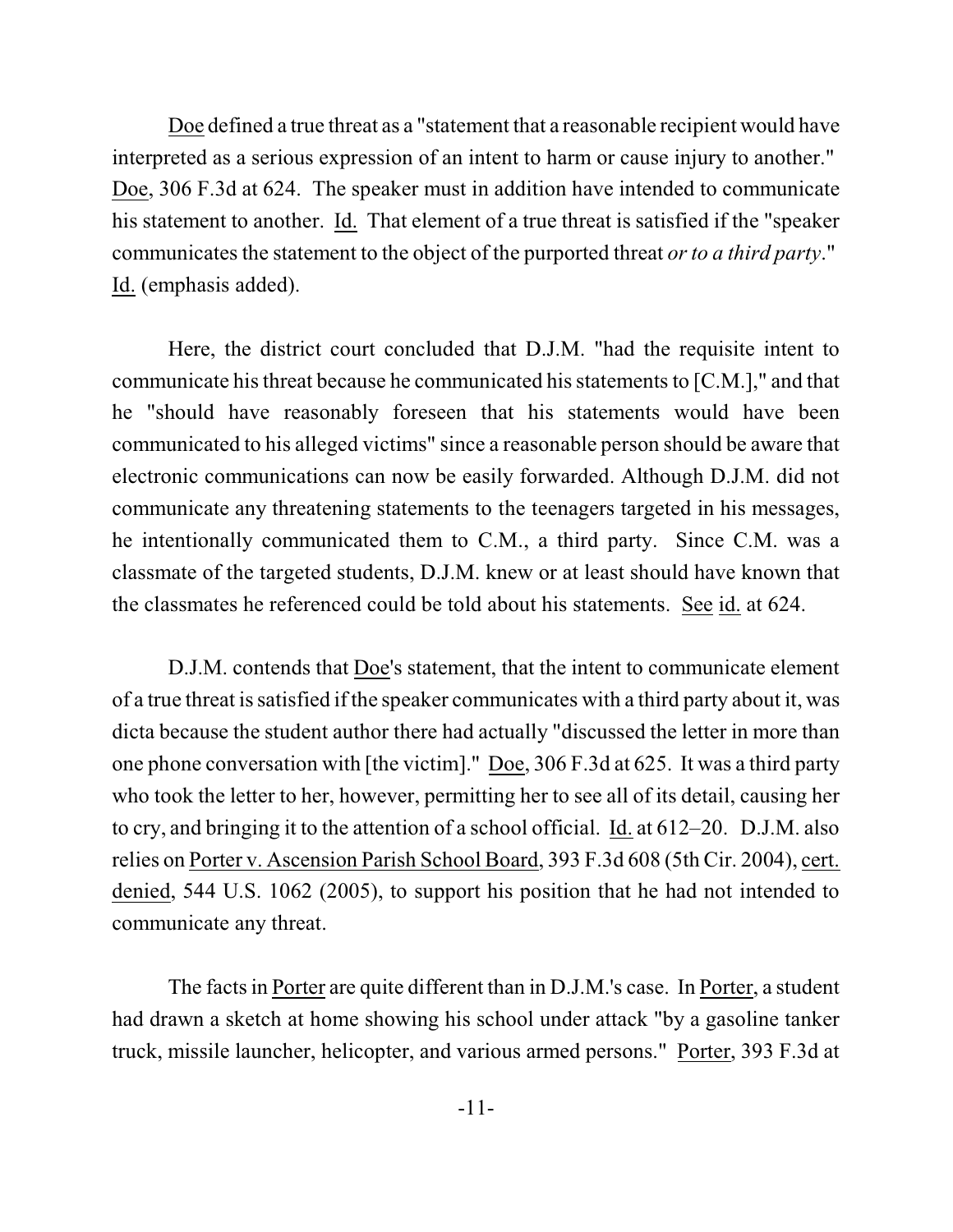Doe defined a true threat as a "statement that a reasonable recipient would have interpreted as a serious expression of an intent to harm or cause injury to another." Doe, 306 F.3d at 624. The speaker must in addition have intended to communicate his statement to another. Id. That element of a true threat is satisfied if the "speaker communicates the statement to the object of the purported threat *or* to *a third party*." Id. (emphasis added).

Here, the district court concluded that D.J.M. "had the requisite intent to communicate his threat because he communicated his statements to  $[C.M.]$ ," and that he "should have reasonably foreseen that his statements would have been communicated to his alleged victims" since a reasonable person should be aware that electronic communications can now be easily forwarded. Although D.J.M. did not communicate any threatening statements to the teenagers targeted in his messages, he intentionally communicated them to C.M., a third party. Since C.M. was a classmate of the targeted students, D.J.M. knew or at least should have known that the classmates he referenced could be told about his statements. See id. at 624.

D.J.M. contends that Doe's statement, that the intent to communicate element of a true threat issatisfied if the speaker communicates with a third party about it, was dicta because the student author there had actually "discussed the letter in more than one phone conversation with [the victim]." Doe, 306 F.3d at 625. It was a third party who took the letter to her, however, permitting her to see all of its detail, causing her to cry, and bringing it to the attention of a school official. Id. at 612–20. D.J.M. also relies on Porter v. Ascension Parish School Board, 393 F.3d 608 (5th Cir. 2004), cert. denied, 544 U.S. 1062 (2005), to support his position that he had not intended to communicate any threat.

The facts in Porter are quite different than in D.J.M.'s case. In Porter, a student had drawn a sketch at home showing his school under attack "by a gasoline tanker truck, missile launcher, helicopter, and various armed persons." Porter, 393 F.3d at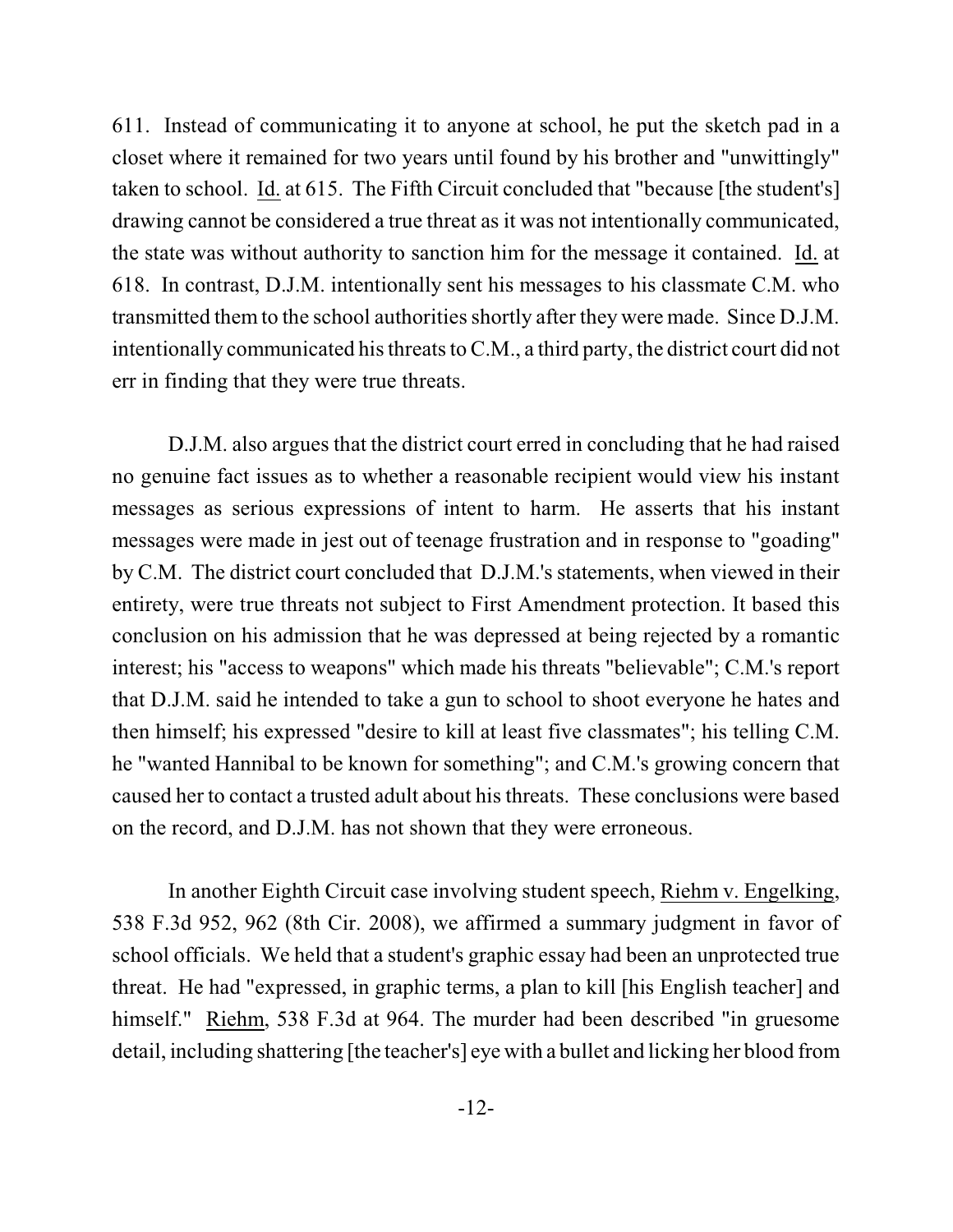611. Instead of communicating it to anyone at school, he put the sketch pad in a closet where it remained for two years until found by his brother and "unwittingly" taken to school. Id. at 615. The Fifth Circuit concluded that "because [the student's] drawing cannot be considered a true threat as it was not intentionally communicated, the state was without authority to sanction him for the message it contained. Id. at 618. In contrast, D.J.M. intentionally sent his messages to his classmate C.M. who transmitted them to the school authorities shortly after they were made. Since D.J.M. intentionally communicated his threats to C.M., a third party, the district court did not err in finding that they were true threats.

D.J.M. also argues that the district court erred in concluding that he had raised no genuine fact issues as to whether a reasonable recipient would view his instant messages as serious expressions of intent to harm. He asserts that his instant messages were made in jest out of teenage frustration and in response to "goading" by C.M. The district court concluded that D.J.M.'s statements, when viewed in their entirety, were true threats not subject to First Amendment protection. It based this conclusion on his admission that he was depressed at being rejected by a romantic interest; his "access to weapons" which made his threats "believable"; C.M.'s report that D.J.M. said he intended to take a gun to school to shoot everyone he hates and then himself; his expressed "desire to kill at least five classmates"; his telling C.M. he "wanted Hannibal to be known for something"; and C.M.'s growing concern that caused her to contact a trusted adult about his threats. These conclusions were based on the record, and D.J.M. has not shown that they were erroneous.

In another Eighth Circuit case involving student speech, Riehm v. Engelking, 538 F.3d 952, 962 (8th Cir. 2008), we affirmed a summary judgment in favor of school officials. We held that a student's graphic essay had been an unprotected true threat. He had "expressed, in graphic terms, a plan to kill [his English teacher] and himself." Riehm, 538 F.3d at 964. The murder had been described "in gruesome detail, including shattering [the teacher's] eye with a bullet and licking her blood from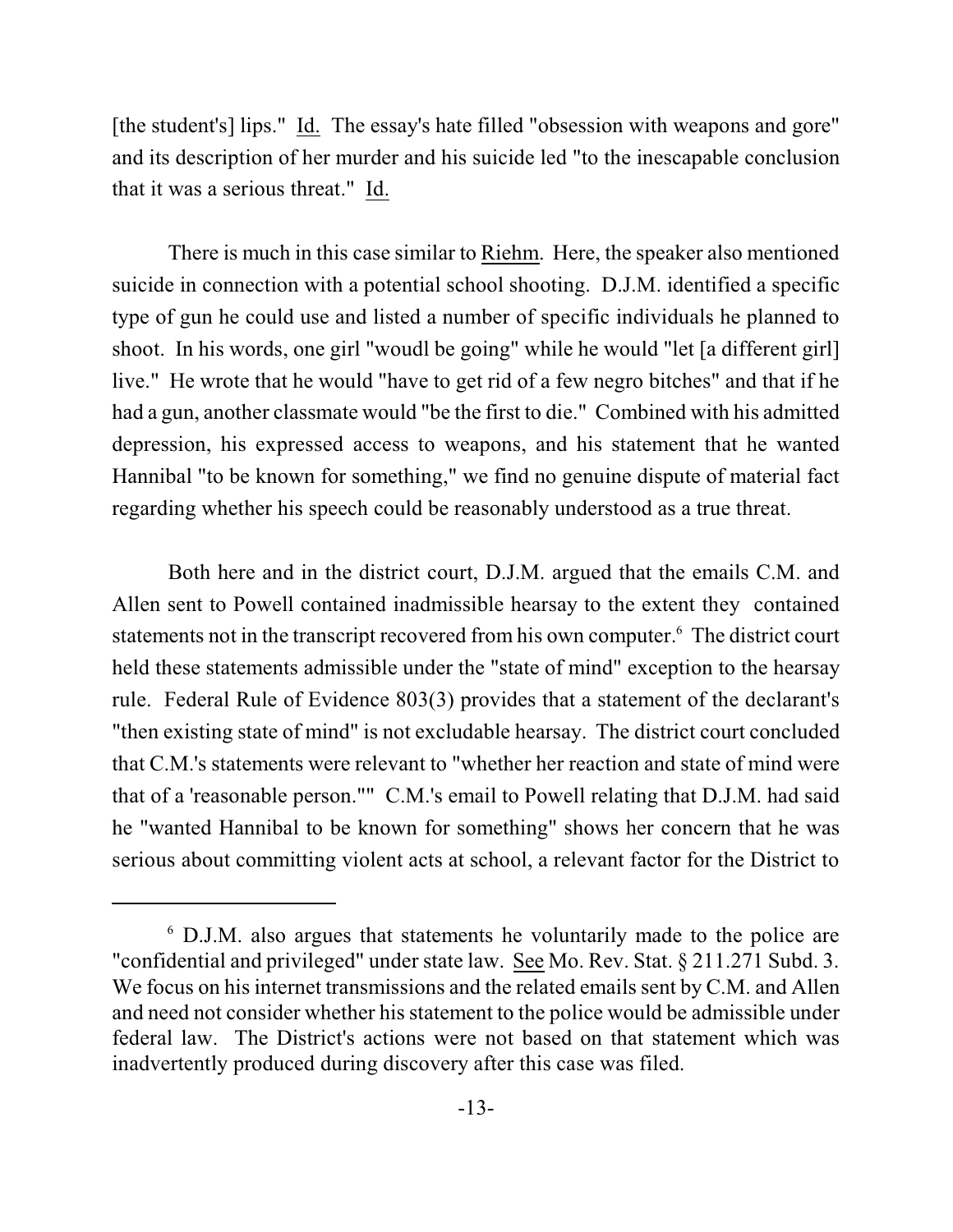[the student's] lips." Id. The essay's hate filled "obsession with weapons and gore" and its description of her murder and his suicide led "to the inescapable conclusion that it was a serious threat." Id.

There is much in this case similar to Riehm. Here, the speaker also mentioned suicide in connection with a potential school shooting. D.J.M. identified a specific type of gun he could use and listed a number of specific individuals he planned to shoot. In his words, one girl "woudl be going" while he would "let [a different girl] live." He wrote that he would "have to get rid of a few negro bitches" and that if he had a gun, another classmate would "be the first to die." Combined with his admitted depression, his expressed access to weapons, and his statement that he wanted Hannibal "to be known for something," we find no genuine dispute of material fact regarding whether his speech could be reasonably understood as a true threat.

Both here and in the district court, D.J.M. argued that the emails C.M. and Allen sent to Powell contained inadmissible hearsay to the extent they contained statements not in the transcript recovered from his own computer.<sup>6</sup> The district court held these statements admissible under the "state of mind" exception to the hearsay rule. Federal Rule of Evidence 803(3) provides that a statement of the declarant's "then existing state of mind" is not excludable hearsay. The district court concluded that C.M.'s statements were relevant to "whether her reaction and state of mind were that of a 'reasonable person."" C.M.'s email to Powell relating that D.J.M. had said he "wanted Hannibal to be known for something" shows her concern that he was serious about committing violent acts at school, a relevant factor for the District to

 $6$  D.J.M. also argues that statements he voluntarily made to the police are "confidential and privileged" under state law. See Mo. Rev. Stat. § 211.271 Subd. 3. We focus on his internet transmissions and the related emails sent by C.M. and Allen and need not consider whether his statement to the police would be admissible under federal law. The District's actions were not based on that statement which was inadvertently produced during discovery after this case was filed.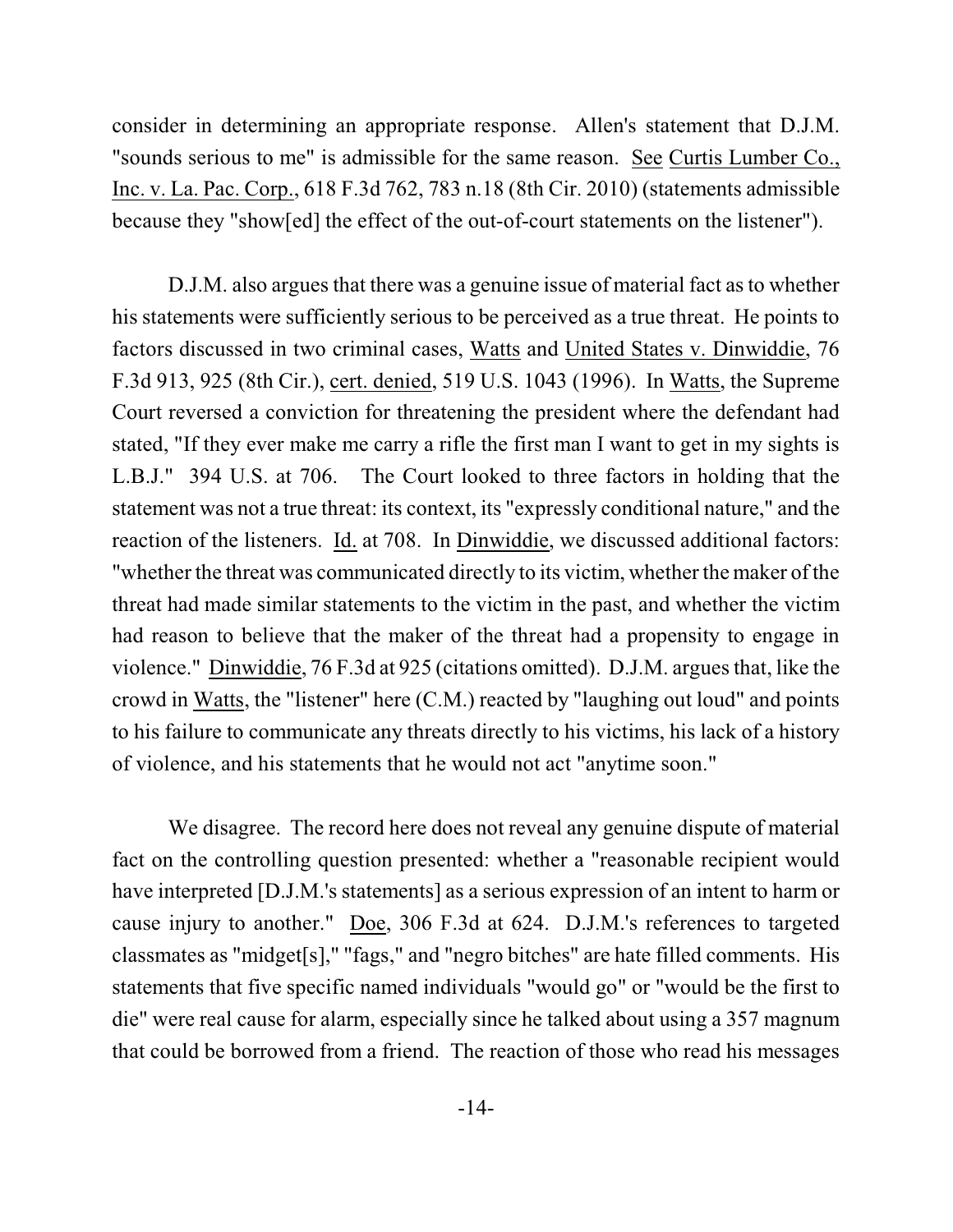consider in determining an appropriate response. Allen's statement that D.J.M. "sounds serious to me" is admissible for the same reason. See Curtis Lumber Co., Inc. v. La. Pac. Corp., 618 F.3d 762, 783 n.18 (8th Cir. 2010) (statements admissible because they "show[ed] the effect of the out-of-court statements on the listener").

D.J.M. also argues that there was a genuine issue of material fact as to whether his statements were sufficiently serious to be perceived as a true threat. He points to factors discussed in two criminal cases, Watts and United States v. Dinwiddie, 76 F.3d 913, 925 (8th Cir.), cert. denied, 519 U.S. 1043 (1996). In Watts, the Supreme Court reversed a conviction for threatening the president where the defendant had stated, "If they ever make me carry a rifle the first man I want to get in my sights is L.B.J." 394 U.S. at 706. The Court looked to three factors in holding that the statement was not a true threat: its context, its "expressly conditional nature," and the reaction of the listeners. Id. at 708. In Dinwiddie, we discussed additional factors: "whether the threat was communicated directly to its victim, whether the maker of the threat had made similar statements to the victim in the past, and whether the victim had reason to believe that the maker of the threat had a propensity to engage in violence." Dinwiddie, 76 F.3d at 925 (citations omitted). D.J.M. argues that, like the crowd in Watts, the "listener" here (C.M.) reacted by "laughing out loud" and points to his failure to communicate any threats directly to his victims, his lack of a history of violence, and his statements that he would not act "anytime soon."

We disagree. The record here does not reveal any genuine dispute of material fact on the controlling question presented: whether a "reasonable recipient would have interpreted [D.J.M.'s statements] as a serious expression of an intent to harm or cause injury to another." Doe, 306 F.3d at 624. D.J.M.'s references to targeted classmates as "midget[s]," "fags," and "negro bitches" are hate filled comments. His statements that five specific named individuals "would go" or "would be the first to die" were real cause for alarm, especially since he talked about using a 357 magnum that could be borrowed from a friend. The reaction of those who read his messages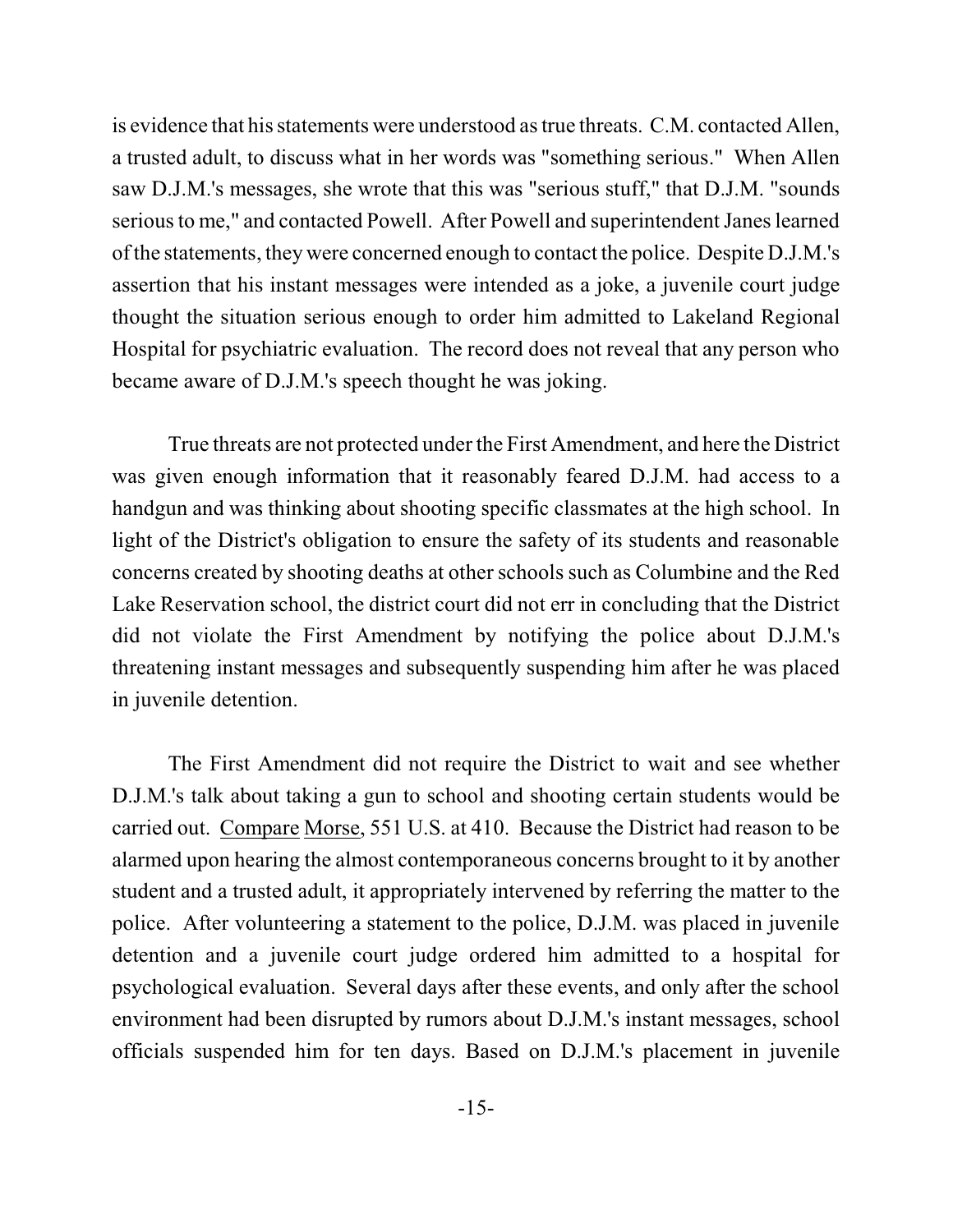is evidence that his statements were understood astrue threats. C.M. contacted Allen, a trusted adult, to discuss what in her words was "something serious." When Allen saw D.J.M.'s messages, she wrote that this was "serious stuff," that D.J.M. "sounds serious to me," and contacted Powell. After Powell and superintendent Janes learned ofthe statements, they were concerned enough to contact the police. Despite D.J.M.'s assertion that his instant messages were intended as a joke, a juvenile court judge thought the situation serious enough to order him admitted to Lakeland Regional Hospital for psychiatric evaluation. The record does not reveal that any person who became aware of D.J.M.'s speech thought he was joking.

True threats are not protected under the First Amendment, and here the District was given enough information that it reasonably feared D.J.M. had access to a handgun and was thinking about shooting specific classmates at the high school. In light of the District's obligation to ensure the safety of its students and reasonable concerns created by shooting deaths at other schools such as Columbine and the Red Lake Reservation school, the district court did not err in concluding that the District did not violate the First Amendment by notifying the police about D.J.M.'s threatening instant messages and subsequently suspending him after he was placed in juvenile detention.

The First Amendment did not require the District to wait and see whether D.J.M.'s talk about taking a gun to school and shooting certain students would be carried out. Compare Morse, 551 U.S. at 410. Because the District had reason to be alarmed upon hearing the almost contemporaneous concerns brought to it by another student and a trusted adult, it appropriately intervened by referring the matter to the police. After volunteering a statement to the police, D.J.M. was placed in juvenile detention and a juvenile court judge ordered him admitted to a hospital for psychological evaluation. Several days after these events, and only after the school environment had been disrupted by rumors about D.J.M.'s instant messages, school officials suspended him for ten days. Based on D.J.M.'s placement in juvenile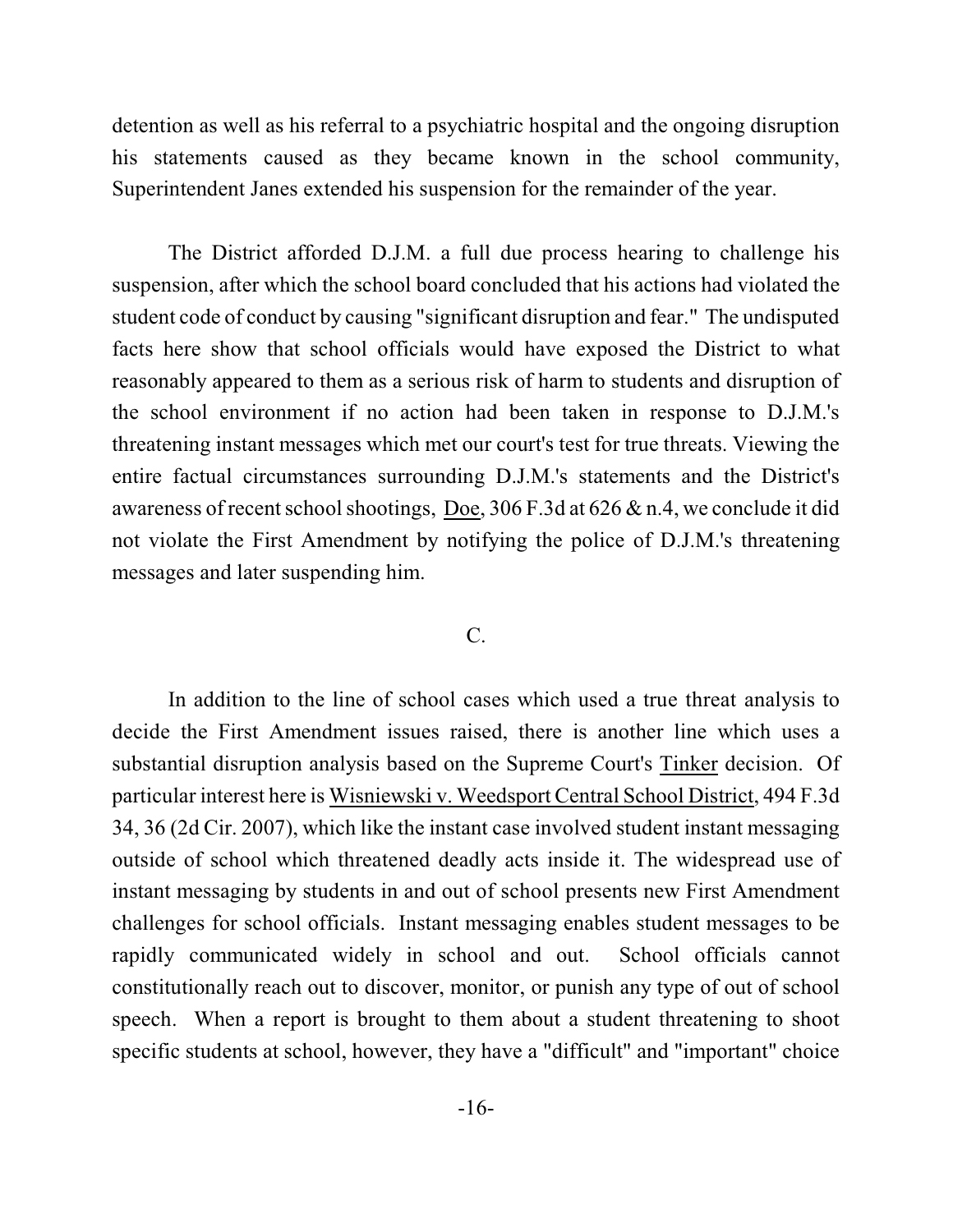detention as well as his referral to a psychiatric hospital and the ongoing disruption his statements caused as they became known in the school community, Superintendent Janes extended his suspension for the remainder of the year.

The District afforded D.J.M. a full due process hearing to challenge his suspension, after which the school board concluded that his actions had violated the student code of conduct by causing "significant disruption and fear." The undisputed facts here show that school officials would have exposed the District to what reasonably appeared to them as a serious risk of harm to students and disruption of the school environment if no action had been taken in response to D.J.M.'s threatening instant messages which met our court's test for true threats. Viewing the entire factual circumstances surrounding D.J.M.'s statements and the District's awareness of recent school shootings, Doe, 306 F.3d at 626  $\&$  n.4, we conclude it did not violate the First Amendment by notifying the police of D.J.M.'s threatening messages and later suspending him.

### $C_{\cdot}$

In addition to the line of school cases which used a true threat analysis to decide the First Amendment issues raised, there is another line which uses a substantial disruption analysis based on the Supreme Court's Tinker decision. Of particular interest here is Wisniewski v. Weedsport Central School District, 494 F.3d 34, 36 (2d Cir. 2007), which like the instant case involved student instant messaging outside of school which threatened deadly acts inside it. The widespread use of instant messaging by students in and out of school presents new First Amendment challenges for school officials. Instant messaging enables student messages to be rapidly communicated widely in school and out. School officials cannot constitutionally reach out to discover, monitor, or punish any type of out of school speech. When a report is brought to them about a student threatening to shoot specific students at school, however, they have a "difficult" and "important" choice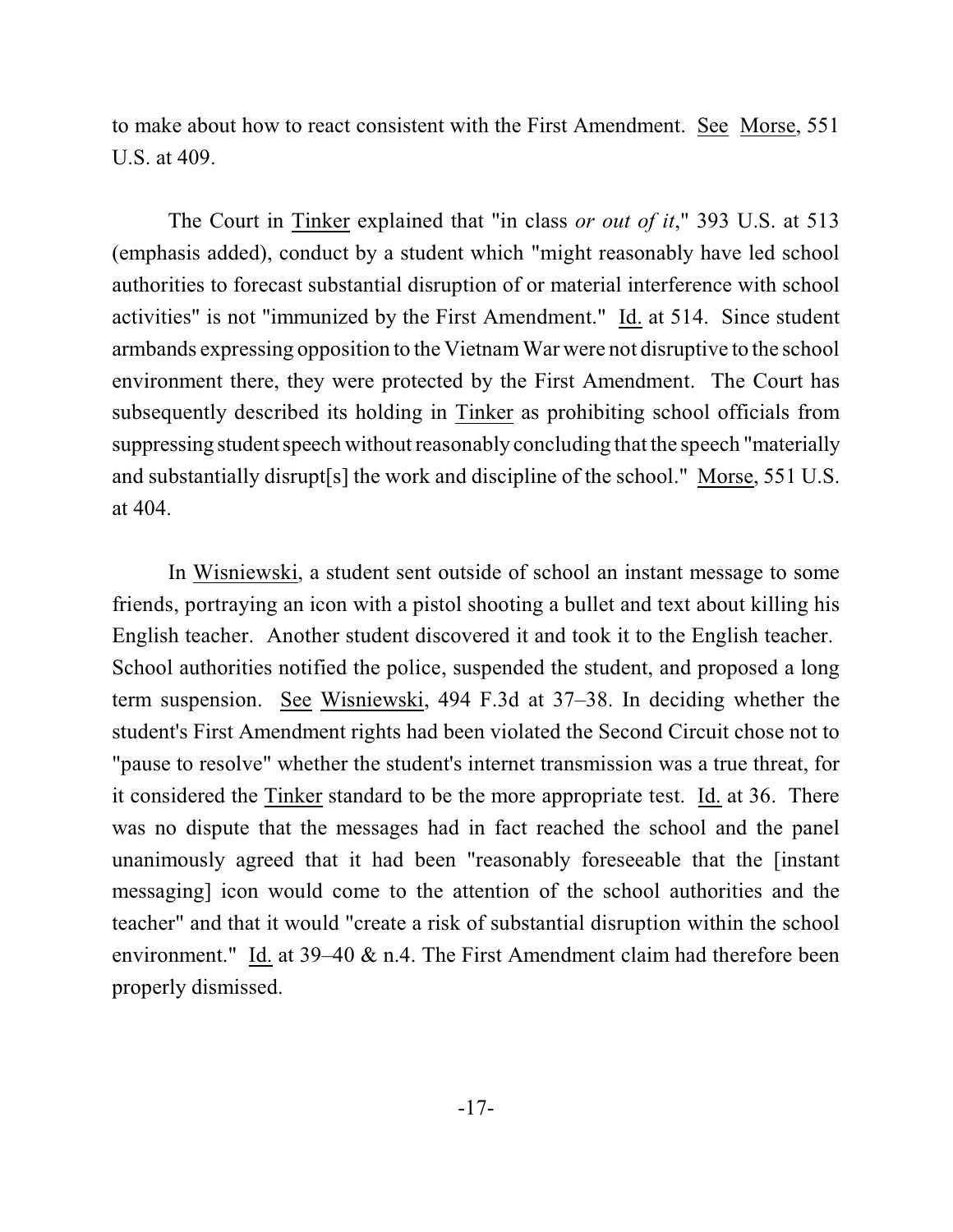to make about how to react consistent with the First Amendment. See Morse, 551 U.S. at 409.

The Court in Tinker explained that "in class *or out of it*," 393 U.S. at 513 (emphasis added), conduct by a student which "might reasonably have led school authorities to forecast substantial disruption of or material interference with school activities" is not "immunized by the First Amendment." Id. at 514. Since student armbands expressing opposition to the VietnamWar were not disruptive to the school environment there, they were protected by the First Amendment. The Court has subsequently described its holding in Tinker as prohibiting school officials from suppressing student speech without reasonably concluding that the speech "materially and substantially disrupt[s] the work and discipline of the school." Morse, 551 U.S. at 404.

In Wisniewski, a student sent outside of school an instant message to some friends, portraying an icon with a pistol shooting a bullet and text about killing his English teacher. Another student discovered it and took it to the English teacher. School authorities notified the police, suspended the student, and proposed a long term suspension. See Wisniewski, 494 F.3d at 37–38. In deciding whether the student's First Amendment rights had been violated the Second Circuit chose not to "pause to resolve" whether the student's internet transmission was a true threat, for it considered the Tinker standard to be the more appropriate test. Id. at 36. There was no dispute that the messages had in fact reached the school and the panel unanimously agreed that it had been "reasonably foreseeable that the [instant messaging] icon would come to the attention of the school authorities and the teacher" and that it would "create a risk of substantial disruption within the school environment." Id. at 39–40 & n.4. The First Amendment claim had therefore been properly dismissed.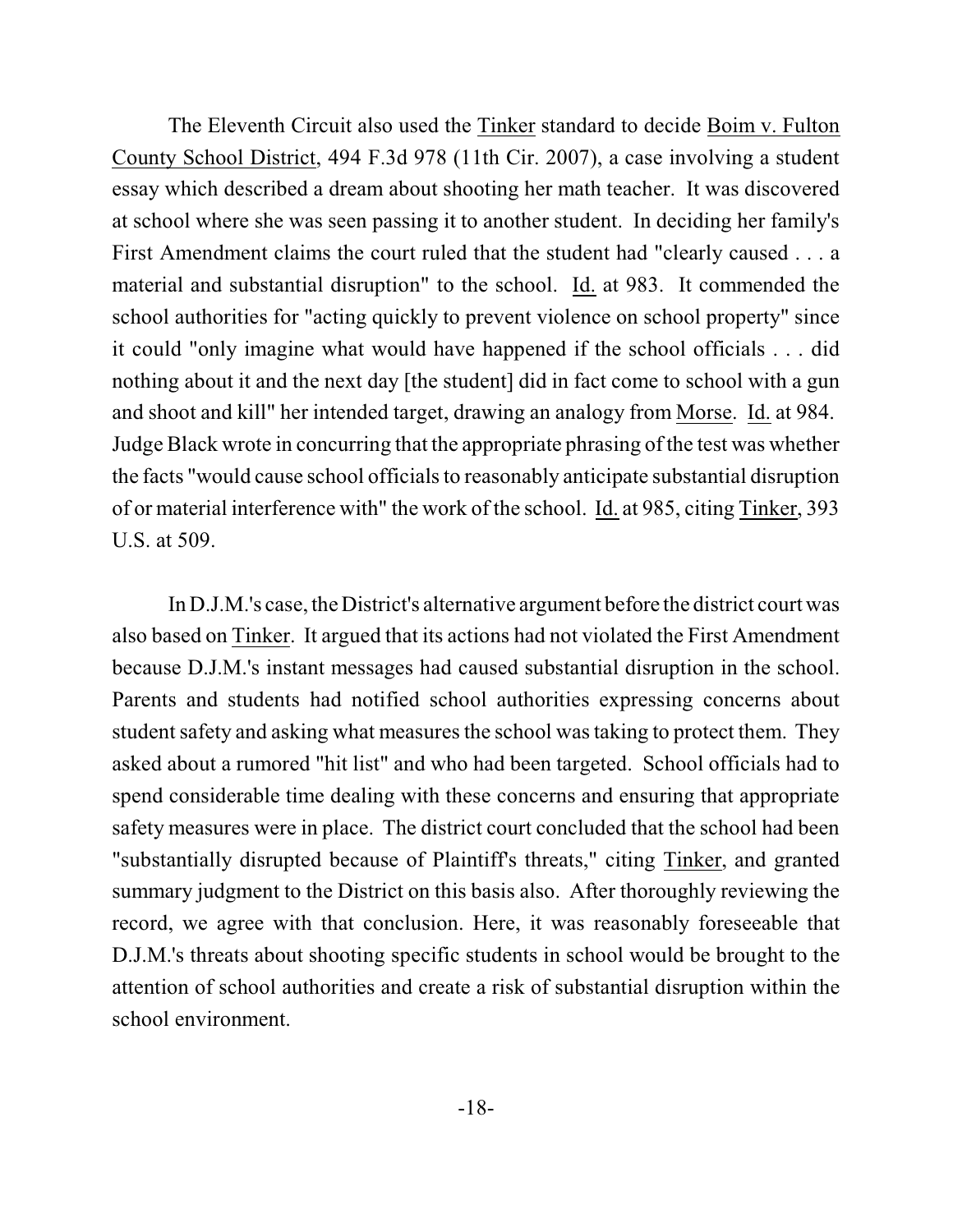The Eleventh Circuit also used the Tinker standard to decide Boim v. Fulton County School District, 494 F.3d 978 (11th Cir. 2007), a case involving a student essay which described a dream about shooting her math teacher. It was discovered at school where she was seen passing it to another student. In deciding her family's First Amendment claims the court ruled that the student had "clearly caused . . . a material and substantial disruption" to the school. Id. at 983. It commended the school authorities for "acting quickly to prevent violence on school property" since it could "only imagine what would have happened if the school officials . . . did nothing about it and the next day [the student] did in fact come to school with a gun and shoot and kill" her intended target, drawing an analogy from Morse. Id. at 984. Judge Black wrote in concurring that the appropriate phrasing of the test was whether the facts "would cause school officials to reasonably anticipate substantial disruption of or material interference with" the work of the school. Id. at 985, citing Tinker, 393 U.S. at 509.

In D.J.M.'s case, the District's alternative argument before the district court was also based on Tinker. It argued that its actions had not violated the First Amendment because D.J.M.'s instant messages had caused substantial disruption in the school. Parents and students had notified school authorities expressing concerns about student safety and asking what measures the school was taking to protect them. They asked about a rumored "hit list" and who had been targeted. School officials had to spend considerable time dealing with these concerns and ensuring that appropriate safety measures were in place. The district court concluded that the school had been "substantially disrupted because of Plaintiff's threats," citing Tinker, and granted summary judgment to the District on this basis also. After thoroughly reviewing the record, we agree with that conclusion. Here, it was reasonably foreseeable that D.J.M.'s threats about shooting specific students in school would be brought to the attention of school authorities and create a risk of substantial disruption within the school environment.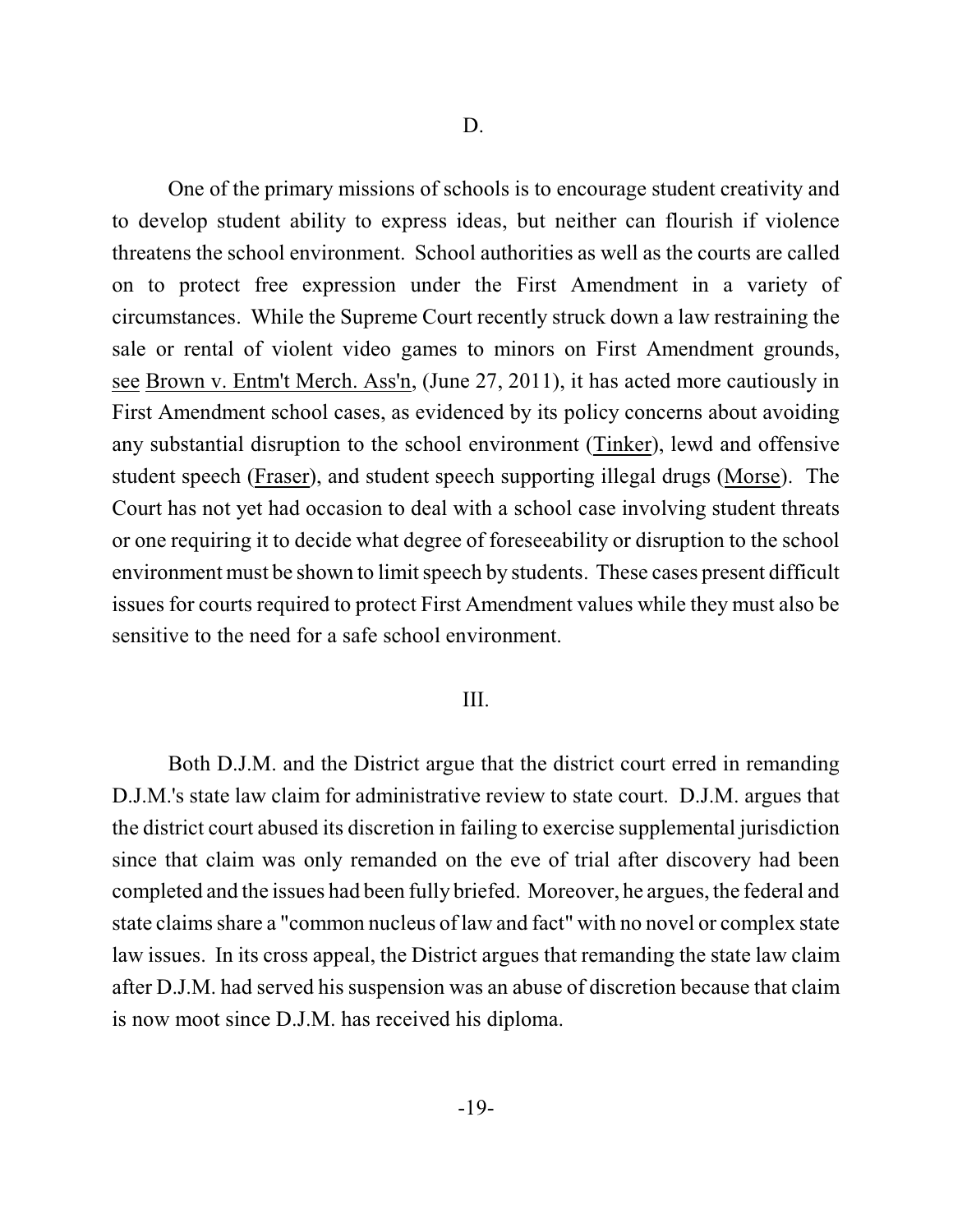One of the primary missions of schools is to encourage student creativity and to develop student ability to express ideas, but neither can flourish if violence threatens the school environment. School authorities as well as the courts are called on to protect free expression under the First Amendment in a variety of circumstances. While the Supreme Court recently struck down a law restraining the sale or rental of violent video games to minors on First Amendment grounds, see Brown v. Entm't Merch. Ass'n, (June 27, 2011), it has acted more cautiously in First Amendment school cases, as evidenced by its policy concerns about avoiding any substantial disruption to the school environment (Tinker), lewd and offensive student speech (Fraser), and student speech supporting illegal drugs (Morse). The Court has not yet had occasion to deal with a school case involving student threats or one requiring it to decide what degree of foreseeability or disruption to the school environment must be shown to limit speech by students. These cases present difficult issues for courts required to protect First Amendment values while they must also be sensitive to the need for a safe school environment.

#### III.

Both D.J.M. and the District argue that the district court erred in remanding D.J.M.'s state law claim for administrative review to state court. D.J.M. argues that the district court abused its discretion in failing to exercise supplemental jurisdiction since that claim was only remanded on the eve of trial after discovery had been completed and the issues had been fully briefed. Moreover, he argues, the federal and state claims share a "common nucleus of law and fact" with no novel or complex state law issues. In its cross appeal, the District argues that remanding the state law claim after D.J.M. had served his suspension was an abuse of discretion because that claim is now moot since D.J.M. has received his diploma.